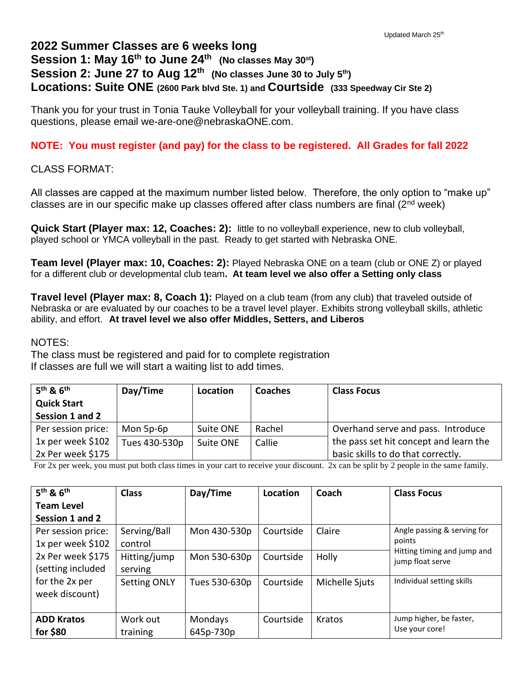## **2022 Summer Classes are 6 weeks long Session 1: May 16th to June 24th (No classes May 30st) Session 2: June 27 to Aug 12th (No classes June 30 to July 5th) Locations: Suite ONE (2600 Park blvd Ste. 1) and Courtside (333 Speedway Cir Ste 2)**

Thank you for your trust in Tonia Tauke Volleyball for your volleyball training. If you have class questions, please email we-are-one@nebraskaONE.com.

## **NOTE: You must register (and pay) for the class to be registered. All Grades for fall 2022**

CLASS FORMAT:

All classes are capped at the maximum number listed below. Therefore, the only option to "make up" classes are in our specific make up classes offered after class numbers are final  $(2^{nd}$  week)

**Quick Start (Player max: 12, Coaches: 2):** little to no volleyball experience, new to club volleyball, played school or YMCA volleyball in the past. Ready to get started with Nebraska ONE.

**Team level (Player max: 10, Coaches: 2):** Played Nebraska ONE on a team (club or ONE Z) or played for a different club or developmental club team**. At team level we also offer a Setting only class**

**Travel level (Player max: 8, Coach 1):** Played on a club team (from any club) that traveled outside of Nebraska or are evaluated by our coaches to be a travel level player. Exhibits strong volleyball skills, athletic ability, and effort. **At travel level we also offer Middles, Setters, and Liberos**

## NOTES:

The class must be registered and paid for to complete registration If classes are full we will start a waiting list to add times.

| $5th$ & $6th$      | Day/Time      | Location  | <b>Coaches</b> | <b>Class Focus</b>                     |
|--------------------|---------------|-----------|----------------|----------------------------------------|
| <b>Quick Start</b> |               |           |                |                                        |
| Session 1 and 2    |               |           |                |                                        |
| Per session price: | Mon 5p-6p     | Suite ONE | Rachel         | Overhand serve and pass. Introduce     |
| 1x per week \$102  | Tues 430-530p | Suite ONE | Callie         | the pass set hit concept and learn the |
| 2x Per week \$175  |               |           |                | basic skills to do that correctly.     |

For 2x per week, you must put both class times in your cart to receive your discount. 2x can be split by 2 people in the same family.

| $5th$ & $6th$      | <b>Class</b>        | Day/Time      | Location  | Coach          | <b>Class Focus</b>                              |
|--------------------|---------------------|---------------|-----------|----------------|-------------------------------------------------|
| <b>Team Level</b>  |                     |               |           |                |                                                 |
| Session 1 and 2    |                     |               |           |                |                                                 |
| Per session price: | Serving/Ball        | Mon 430-530p  | Courtside | Claire         | Angle passing & serving for                     |
| 1x per week \$102  | control             |               |           |                | points                                          |
| 2x Per week \$175  | Hitting/jump        | Mon 530-630p  | Courtside | Holly          | Hitting timing and jump and<br>jump float serve |
| (setting included  | serving             |               |           |                |                                                 |
| for the 2x per     | <b>Setting ONLY</b> | Tues 530-630p | Courtside | Michelle Sjuts | Individual setting skills                       |
| week discount)     |                     |               |           |                |                                                 |
|                    |                     |               |           |                |                                                 |
| <b>ADD Kratos</b>  | Work out            | Mondays       | Courtside | Kratos         | Jump higher, be faster,                         |
| for $$80$          | training            | 645p-730p     |           |                | Use your core!                                  |